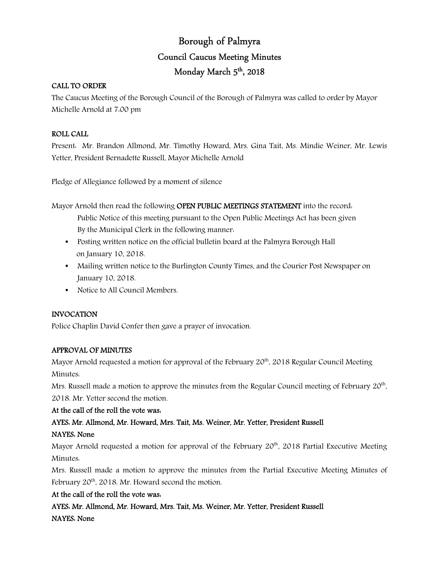# Borough of Palmyra Council Caucus Meeting Minutes Monday March 5 th, 2018

## CALL TO ORDER

The Caucus Meeting of the Borough Council of the Borough of Palmyra was called to order by Mayor Michelle Arnold at 7:00 pm

## ROLL CALL

Present: Mr. Brandon Allmond, Mr. Timothy Howard, Mrs. Gina Tait, Ms. Mindie Weiner, Mr. Lewis Yetter, President Bernadette Russell, Mayor Michelle Arnold

Pledge of Allegiance followed by a moment of silence

Mayor Arnold then read the following OPEN PUBLIC MEETINGS STATEMENT into the record. Public Notice of this meeting pursuant to the Open Public Meetings Act has been given By the Municipal Clerk in the following manner:

- Posting written notice on the official bulletin board at the Palmyra Borough Hall on January 10, 2018.
- Mailing written notice to the Burlington County Times, and the Courier Post Newspaper on January 10, 2018.
- Notice to All Council Members.

## INVOCATION

Police Chaplin David Confer then gave a prayer of invocation.

## APPROVAL OF MINUTES

Mayor Arnold requested a motion for approval of the February  $20<sup>th</sup>$ , 2018 Regular Council Meeting Minutes:

Mrs. Russell made a motion to approve the minutes from the Regular Council meeting of February 20<sup>th</sup>, 2018. Mr. Yetter second the motion.

## At the call of the roll the vote was:

## AYES: Mr. Allmond, Mr. Howard, Mrs. Tait, Ms. Weiner, Mr. Yetter, President Russell NAYES: None

Mayor Arnold requested a motion for approval of the February  $20<sup>th</sup>$ , 2018 Partial Executive Meeting Minutes:

Mrs. Russell made a motion to approve the minutes from the Partial Executive Meeting Minutes of February  $20<sup>th</sup>$ , 2018. Mr. Howard second the motion.

## At the call of the roll the vote was:

AYES: Mr. Allmond, Mr. Howard, Mrs. Tait, Ms. Weiner, Mr. Yetter, President Russell NAYES: None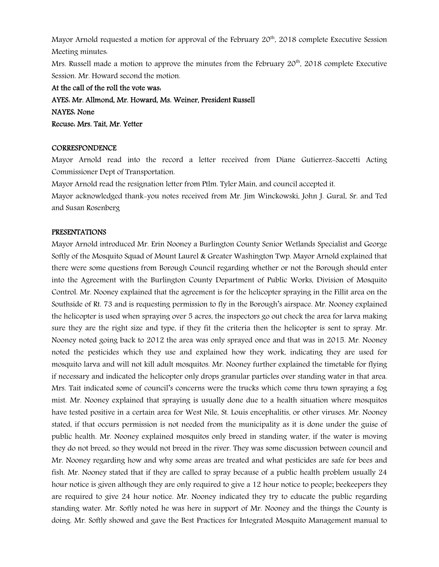Mayor Arnold requested a motion for approval of the February  $20<sup>th</sup>$ , 2018 complete Executive Session Meeting minutes:

Mrs. Russell made a motion to approve the minutes from the February  $20<sup>th</sup>$ , 2018 complete Executive Session. Mr. Howard second the motion.

At the call of the roll the vote was: AYES: Mr. Allmond, Mr. Howard, Ms. Weiner, President Russell NAYES: None Recuse: Mrs. Tait, Mr. Yetter

#### CORRESPONDENCE

Mayor Arnold read into the record a letter received from Diane Gutierrez-Saccetti Acting Commissioner Dept of Transportation.

Mayor Arnold read the resignation letter from Ptlm. Tyler Main, and council accepted it.

Mayor acknowledged thank-you notes received from Mr. Jim Winckowski, John J. Gural, Sr. and Ted and Susan Rosenberg

#### PRESENTATIONS

Mayor Arnold introduced Mr. Erin Nooney a Burlington County Senior Wetlands Specialist and George Softly of the Mosquito Squad of Mount Laurel & Greater Washington Twp. Mayor Arnold explained that there were some questions from Borough Council regarding whether or not the Borough should enter into the Agreement with the Burlington County Department of Public Works, Division of Mosquito Control. Mr. Nooney explained that the agreement is for the helicopter spraying in the Fillit area on the Southside of Rt. 73 and is requesting permission to fly in the Borough's airspace. Mr. Nooney explained the helicopter is used when spraying over 5 acres, the inspectors go out check the area for larva making sure they are the right size and type, if they fit the criteria then the helicopter is sent to spray. Mr. Nooney noted going back to 2012 the area was only sprayed once and that was in 2015. Mr. Nooney noted the pesticides which they use and explained how they work, indicating they are used for mosquito larva and will not kill adult mosquitos. Mr. Nooney further explained the timetable for flying if necessary and indicated the helicopter only drops granular particles over standing water in that area. Mrs. Tait indicated some of council's concerns were the trucks which come thru town spraying a fog mist. Mr. Nooney explained that spraying is usually done due to a health situation where mosquitos have tested positive in a certain area for West Nile, St. Louis encephalitis, or other viruses. Mr. Nooney stated, if that occurs permission is not needed from the municipality as it is done under the guise of public health. Mr. Nooney explained mosquitos only breed in standing water, if the water is moving they do not breed, so they would not breed in the river. They was some discussion between council and Mr. Nooney regarding how and why some areas are treated and what pesticides are safe for bees and fish. Mr. Nooney stated that if they are called to spray because of a public health problem usually 24 hour notice is given although they are only required to give a 12 hour notice to people; beekeepers they are required to give 24 hour notice. Mr. Nooney indicated they try to educate the public regarding standing water. Mr. Softly noted he was here in support of Mr. Nooney and the things the County is doing. Mr. Softly showed and gave the Best Practices for Integrated Mosquito Management manual to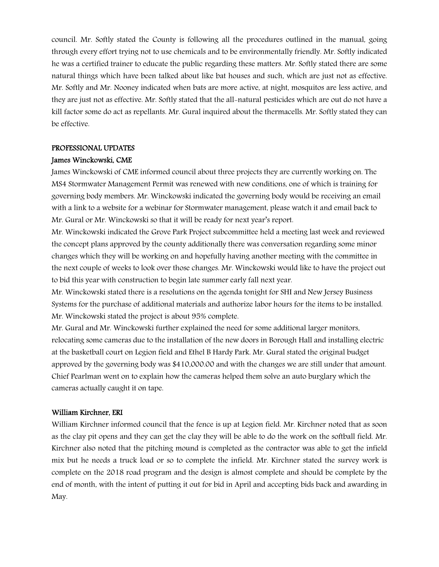council. Mr. Softly stated the County is following all the procedures outlined in the manual, going through every effort trying not to use chemicals and to be environmentally friendly. Mr. Softly indicated he was a certified trainer to educate the public regarding these matters. Mr. Softly stated there are some natural things which have been talked about like bat houses and such, which are just not as effective. Mr. Softly and Mr. Nooney indicated when bats are more active, at night, mosquitos are less active, and they are just not as effective. Mr. Softly stated that the all-natural pesticides which are out do not have a kill factor some do act as repellants. Mr. Gural inquired about the thermacells. Mr. Softly stated they can be effective.

#### PROFESSIONAL UPDATES

## James Winckowski, CME

James Winckowski of CME informed council about three projects they are currently working on. The MS4 Stormwater Management Permit was renewed with new conditions, one of which is training for governing body members. Mr. Winckowski indicated the governing body would be receiving an email with a link to a website for a webinar for Stormwater management, please watch it and email back to Mr. Gural or Mr. Winckowski so that it will be ready for next year's report.

Mr. Winckowski indicated the Grove Park Project subcommittee held a meeting last week and reviewed the concept plans approved by the county additionally there was conversation regarding some minor changes which they will be working on and hopefully having another meeting with the committee in the next couple of weeks to look over those changes. Mr. Winckowski would like to have the project out to bid this year with construction to begin late summer early fall next year.

Mr. Winckowski stated there is a resolutions on the agenda tonight for SHI and New Jersey Business Systems for the purchase of additional materials and authorize labor hours for the items to be installed. Mr. Winckowski stated the project is about 95% complete.

Mr. Gural and Mr. Winckowski further explained the need for some additional larger monitors, relocating some cameras due to the installation of the new doors in Borough Hall and installing electric at the basketball court on Legion field and Ethel B Hardy Park. Mr. Gural stated the original budget approved by the governing body was \$410,000.00 and with the changes we are still under that amount. Chief Pearlman went on to explain how the cameras helped them solve an auto burglary which the cameras actually caught it on tape.

## William Kirchner, ERI

William Kirchner informed council that the fence is up at Legion field. Mr. Kirchner noted that as soon as the clay pit opens and they can get the clay they will be able to do the work on the softball field. Mr. Kirchner also noted that the pitching mound is completed as the contractor was able to get the infield mix but he needs a truck load or so to complete the infield. Mr. Kirchner stated the survey work is complete on the 2018 road program and the design is almost complete and should be complete by the end of month, with the intent of putting it out for bid in April and accepting bids back and awarding in May.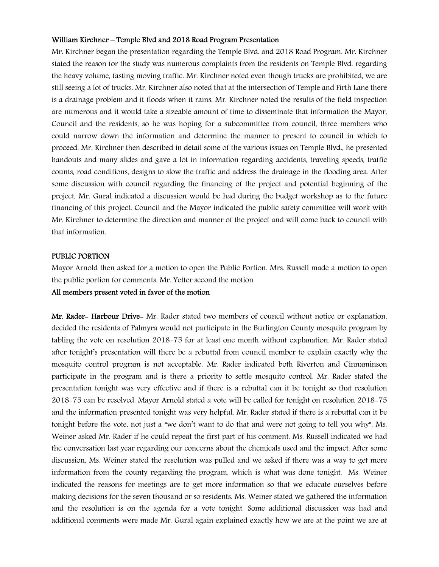## William Kirchner – Temple Blvd and 2018 Road Program Presentation

Mr. Kirchner began the presentation regarding the Temple Blvd. and 2018 Road Program. Mr. Kirchner stated the reason for the study was numerous complaints from the residents on Temple Blvd. regarding the heavy volume, fasting moving traffic. Mr. Kirchner noted even though trucks are prohibited, we are still seeing a lot of trucks. Mr. Kirchner also noted that at the intersection of Temple and Firth Lane there is a drainage problem and it floods when it rains. Mr. Kirchner noted the results of the field inspection are numerous and it would take a sizeable amount of time to disseminate that information the Mayor, Council and the residents, so he was hoping for a subcommittee from council, three members who could narrow down the information and determine the manner to present to council in which to proceed. Mr. Kirchner then described in detail some of the various issues on Temple Blvd., he presented handouts and many slides and gave a lot in information regarding accidents, traveling speeds, traffic counts, road conditions, designs to slow the traffic and address the drainage in the flooding area. After some discussion with council regarding the financing of the project and potential beginning of the project, Mr. Gural indicated a discussion would be had during the budget workshop as to the future financing of this project. Council and the Mayor indicated the public safety committee will work with Mr. Kirchner to determine the direction and manner of the project and will come back to council with that information.

## PUBLIC PORTION

Mayor Arnold then asked for a motion to open the Public Portion. Mrs. Russell made a motion to open the public portion for comments. Mr. Yetter second the motion

## All members present voted in favor of the motion

Mr. Rader- Harbour Drive- Mr. Rader stated two members of council without notice or explanation, decided the residents of Palmyra would not participate in the Burlington County mosquito program by tabling the vote on resolution 2018-75 for at least one month without explanation. Mr. Rader stated after tonight's presentation will there be a rebuttal from council member to explain exactly why the mosquito control program is not acceptable. Mr. Rader indicated both Riverton and Cinnaminson participate in the program and is there a priority to settle mosquito control. Mr. Rader stated the presentation tonight was very effective and if there is a rebuttal can it be tonight so that resolution 2018-75 can be resolved. Mayor Arnold stated a vote will be called for tonight on resolution 2018-75 and the information presented tonight was very helpful. Mr. Rader stated if there is a rebuttal can it be tonight before the vote, not just a "we don't want to do that and were not going to tell you why". Ms. Weiner asked Mr. Rader if he could repeat the first part of his comment. Ms. Russell indicated we had the conversation last year regarding our concerns about the chemicals used and the impact. After some discussion, Ms. Weiner stated the resolution was pulled and we asked if there was a way to get more information from the county regarding the program, which is what was done tonight. Ms. Weiner indicated the reasons for meetings are to get more information so that we educate ourselves before making decisions for the seven thousand or so residents. Ms. Weiner stated we gathered the information and the resolution is on the agenda for a vote tonight. Some additional discussion was had and additional comments were made Mr. Gural again explained exactly how we are at the point we are at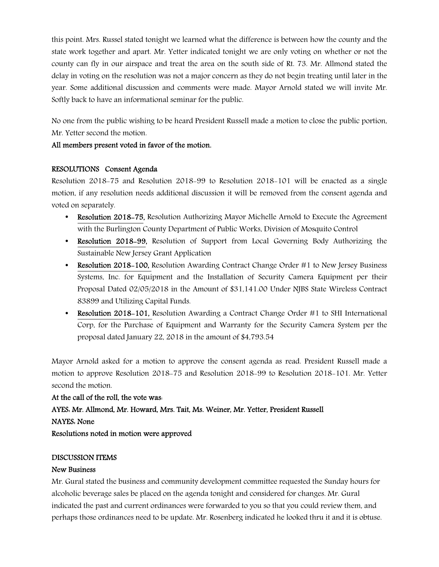this point. Mrs. Russel stated tonight we learned what the difference is between how the county and the state work together and apart. Mr. Yetter indicated tonight we are only voting on whether or not the county can fly in our airspace and treat the area on the south side of Rt. 73. Mr. Allmond stated the delay in voting on the resolution was not a major concern as they do not begin treating until later in the year. Some additional discussion and comments were made. Mayor Arnold stated we will invite Mr. Softly back to have an informational seminar for the public.

No one from the public wishing to be heard President Russell made a motion to close the public portion, Mr. Yetter second the motion.

## All members present voted in favor of the motion.

## RESOLUTIONS Consent Agenda

Resolution 2018-75 and Resolution 2018-99 to Resolution 2018-101 will be enacted as a single motion, if any resolution needs additional discussion it will be removed from the consent agenda and voted on separately.

- **Resolution 2018–75, Resolution Authorizing Mayor Michelle Arnold to Execute the Agreement** with the Burlington County Department of Public Works, Division of Mosquito Control
- Resolution 2018–99, Resolution of Support from Local Governing Body Authorizing the Sustainable New Jersey Grant Application
- Resolution 2018-100, Resolution Awarding Contract Change Order #1 to New Jersey Business Systems, Inc. for Equipment and the Installation of Security Camera Equipment per their Proposal Dated 02/05/2018 in the Amount of \$31,141.00 Under NJBS State Wireless Contract 83899 and Utilizing Capital Funds.
- Resolution 2018-101, Resolution Awarding a Contract Change Order #1 to SHI International Corp, for the Purchase of Equipment and Warranty for the Security Camera System per the proposal dated January 22, 2018 in the amount of \$4,793.54

Mayor Arnold asked for a motion to approve the consent agenda as read. President Russell made a motion to approve Resolution 2018-75 and Resolution 2018-99 to Resolution 2018-101. Mr. Yetter second the motion.

At the call of the roll, the vote was: AYES: Mr. Allmond, Mr. Howard, Mrs. Tait, Ms. Weiner, Mr. Yetter, President Russell NAYES: None Resolutions noted in motion were approved

## DISCUSSION ITEMS

## New Business

Mr. Gural stated the business and community development committee requested the Sunday hours for alcoholic beverage sales be placed on the agenda tonight and considered for changes. Mr. Gural indicated the past and current ordinances were forwarded to you so that you could review them, and perhaps those ordinances need to be update. Mr. Rosenberg indicated he looked thru it and it is obtuse.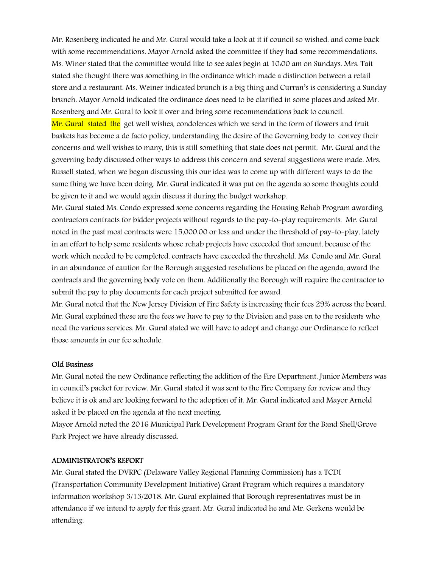Mr. Rosenberg indicated he and Mr. Gural would take a look at it if council so wished, and come back with some recommendations. Mayor Arnold asked the committee if they had some recommendations. Ms. Winer stated that the committee would like to see sales begin at 10:00 am on Sundays. Mrs. Tait stated she thought there was something in the ordinance which made a distinction between a retail store and a restaurant. Ms. Weiner indicated brunch is a big thing and Curran's is considering a Sunday brunch. Mayor Arnold indicated the ordinance does need to be clarified in some places and asked Mr. Rosenberg and Mr. Gural to look it over and bring some recommendations back to council.

Mr. Gural stated the get well wishes, condolences which we send in the form of flowers and fruit baskets has become a de facto policy, understanding the desire of the Governing body to convey their concerns and well wishes to many, this is still something that state does not permit. Mr. Gural and the governing body discussed other ways to address this concern and several suggestions were made. Mrs. Russell stated, when we began discussing this our idea was to come up with different ways to do the same thing we have been doing. Mr. Gural indicated it was put on the agenda so some thoughts could be given to it and we would again discuss it during the budget workshop.

Mr. Gural stated Ms. Condo expressed some concerns regarding the Housing Rehab Program awarding contractors contracts for bidder projects without regards to the pay-to-play requirements. Mr. Gural noted in the past most contracts were 15,000.00 or less and under the threshold of pay-to-play, lately in an effort to help some residents whose rehab projects have exceeded that amount, because of the work which needed to be completed, contracts have exceeded the threshold. Ms. Condo and Mr. Gural in an abundance of caution for the Borough suggested resolutions be placed on the agenda, award the contracts and the governing body vote on them. Additionally the Borough will require the contractor to submit the pay to play documents for each project submitted for award.

Mr. Gural noted that the New Jersey Division of Fire Safety is increasing their fees 29% across the board. Mr. Gural explained these are the fees we have to pay to the Division and pass on to the residents who need the various services. Mr. Gural stated we will have to adopt and change our Ordinance to reflect those amounts in our fee schedule.

#### Old Business

Mr. Gural noted the new Ordinance reflecting the addition of the Fire Department, Junior Members was in council's packet for review. Mr. Gural stated it was sent to the Fire Company for review and they believe it is ok and are looking forward to the adoption of it. Mr. Gural indicated and Mayor Arnold asked it be placed on the agenda at the next meeting.

Mayor Arnold noted the 2016 Municipal Park Development Program Grant for the Band Shell/Grove Park Project we have already discussed.

## ADMINISTRATOR'S REPORT

Mr. Gural stated the DVRPC (Delaware Valley Regional Planning Commission) has a TCDI (Transportation Community Development Initiative) Grant Program which requires a mandatory information workshop 3/13/2018. Mr. Gural explained that Borough representatives must be in attendance if we intend to apply for this grant. Mr. Gural indicated he and Mr. Gerkens would be attending.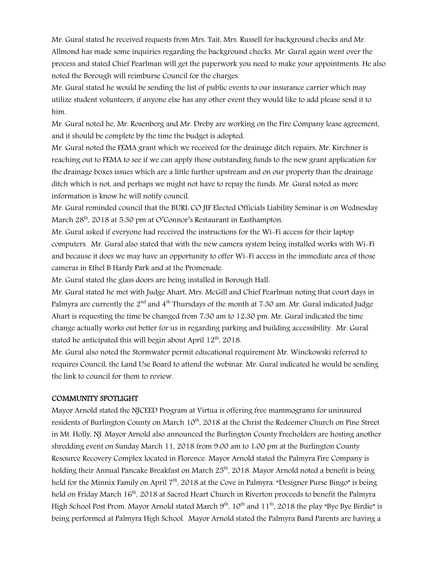Mr. Gural stated he received requests from Mrs. Tait, Mrs. Russell for background checks and Mr. Allmond has made some inquiries regarding the background checks. Mr. Gural again went over the process and stated Chief Pearlman will get the paperwork you need to make your appointments. He also noted the Borough will reimburse Council for the charges.

Mr. Gural stated he would be sending the list of public events to our insurance carrier which may utilize student volunteers, if anyone else has any other event they would like to add please send it to him.

Mr. Gural noted he, Mr. Rosenberg and Mr. Dreby are working on the Fire Company lease agreement, and it should be complete by the time the budget is adopted.

Mr. Gural noted the FEMA grant which we received for the drainage ditch repairs, Mr. Kirchner is reaching out to FEMA to see if we can apply those outstanding funds to the new grant application for the drainage boxes issues which are a little further upstream and on our property than the drainage ditch which is not, and perhaps we might not have to repay the funds. Mr. Gural noted as more information is know he will notify council.

Mr. Gural reminded council that the BURL CO JIF Elected Officials Liability Seminar is on Wednesday March 28<sup>th</sup>, 2018 at 5:30 pm at O'Connor's Restaurant in Easthampton.

Mr. Gural asked if everyone had received the instructions for the Wi-Fi access for their laptop computers. Mr. Gural also stated that with the new camera system being installed works with Wi-Fi and because it does we may have an opportunity to offer Wi-Fi access in the immediate area of those cameras in Ethel B Hardy Park and at the Promenade.

Mr. Gural stated the glass doors are being installed in Borough Hall.

Mr. Gural stated he met with Judge Ahart, Mrs. McGill and Chief Pearlman noting that court days in Palmyra are currently the 2<sup>nd</sup> and  $4<sup>th</sup>$  Thursdays of the month at 7:30 am. Mr. Gural indicated Judge Ahart is requesting the time be changed from 7:30 am to 12:30 pm. Mr. Gural indicated the time change actually works out better for us in regarding parking and building accessibility. Mr. Gural stated he anticipated this will begin about April 12<sup>th</sup>, 2018.

Mr. Gural also noted the Stormwater permit educational requirement Mr. Winckowski referred to requires Council, the Land Use Board to attend the webinar. Mr. Gural indicated he would be sending the link to council for them to review.

## COMMUNITY SPOTLIGHT

Mayor Arnold stated the NJCEED Program at Virtua is offering free mammograms for uninsured residents of Burlington County on March 10<sup>th</sup>, 2018 at the Christ the Redeemer Church on Pine Street in Mt. Holly, NJ. Mayor Arnold also announced the Burlington County Freeholders are hosting another shredding event on Sunday March 11, 2018 from 9:00 am to 1:00 pm at the Burlington County Resource Recovery Complex located in Florence. Mayor Arnold stated the Palmyra Fire Company is holding their Annual Pancake Breakfast on March  $25<sup>th</sup>$ , 2018. Mayor Arnold noted a benefit is being held for the Minnix Family on April  $7<sup>th</sup>$ , 2018 at the Cove in Palmyra. "Designer Purse Bingo" is being held on Friday March 16<sup>th</sup>, 2018 at Sacred Heart Church in Riverton proceeds to benefit the Palmyra High School Post Prom. Mayor Arnold stated March  $9<sup>th</sup>$ ,  $10<sup>th</sup>$  and  $11<sup>th</sup>$ , 2018 the play "Bye Bye Birdie" is being performed at Palmyra High School. Mayor Arnold stated the Palmyra Band Parents are having a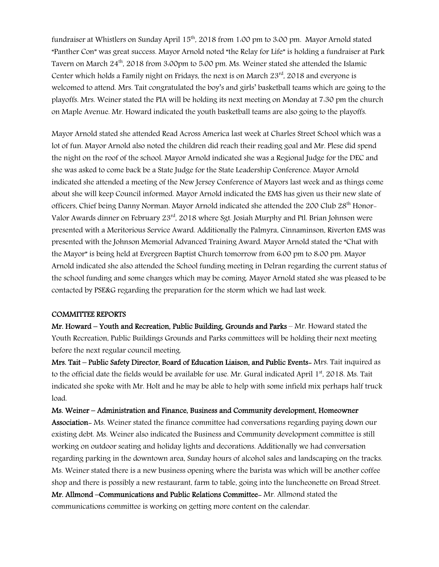fundraiser at Whistlers on Sunday April 15<sup>th</sup>, 2018 from 1:00 pm to 3:00 pm. Mayor Arnold stated "Panther Con" was great success. Mayor Arnold noted "the Relay for Life" is holding a fundraiser at Park Tavern on March 24<sup>th</sup>, 2018 from 3:00pm to 5:00 pm. Ms. Weiner stated she attended the Islamic Center which holds a Family night on Fridays, the next is on March 23rd, 2018 and everyone is welcomed to attend. Mrs. Tait congratulated the boy's and girls' basketball teams which are going to the playoffs. Mrs. Weiner stated the PIA will be holding its next meeting on Monday at 7:30 pm the church on Maple Avenue. Mr. Howard indicated the youth basketball teams are also going to the playoffs.

Mayor Arnold stated she attended Read Across America last week at Charles Street School which was a lot of fun. Mayor Arnold also noted the children did reach their reading goal and Mr. Plese did spend the night on the roof of the school. Mayor Arnold indicated she was a Regional Judge for the DEC and she was asked to come back be a State Judge for the State Leadership Conference. Mayor Arnold indicated she attended a meeting of the New Jersey Conference of Mayors last week and as things come about she will keep Council informed. Mayor Arnold indicated the EMS has given us their new slate of officers, Chief being Danny Norman. Mayor Arnold indicated she attended the 200 Club 28<sup>th</sup> Honor-Valor Awards dinner on February 23rd, 2018 where Sgt. Josiah Murphy and Ptl. Brian Johnson were presented with a Meritorious Service Award. Additionally the Palmyra, Cinnaminson, Riverton EMS was presented with the Johnson Memorial Advanced Training Award. Mayor Arnold stated the "Chat with the Mayor" is being held at Evergreen Baptist Church tomorrow from 6:00 pm to 8:00 pm. Mayor Arnold indicated she also attended the School funding meeting in Delran regarding the current status of the school funding and some changes which may be coming. Mayor Arnold stated she was pleased to be contacted by PSE&G regarding the preparation for the storm which we had last week.

#### COMMITTEE REPORTS

Mr. Howard – Youth and Recreation, Public Building, Grounds and Parks – Mr. Howard stated the Youth Recreation, Public Buildings Grounds and Parks committees will be holding their next meeting before the next regular council meeting.

Mrs. Tait – Public Safety Director, Board of Education Liaison, and Public Events- Mrs. Tait inquired as to the official date the fields would be available for use. Mr. Gural indicated April 1st, 2018. Ms. Tait indicated she spoke with Mr. Holt and he may be able to help with some infield mix perhaps half truck load.

Ms. Weiner – Administration and Finance, Business and Community development, Homeowner Association- Ms. Weiner stated the finance committee had conversations regarding paying down our existing debt. Ms. Weiner also indicated the Business and Community development committee is still working on outdoor seating and holiday lights and decorations. Additionally we had conversation regarding parking in the downtown area, Sunday hours of alcohol sales and landscaping on the tracks. Ms. Weiner stated there is a new business opening where the barista was which will be another coffee shop and there is possibly a new restaurant, farm to table, going into the luncheonette on Broad Street. Mr. Allmond –Communications and Public Relations Committee- Mr. Allmond stated the communications committee is working on getting more content on the calendar.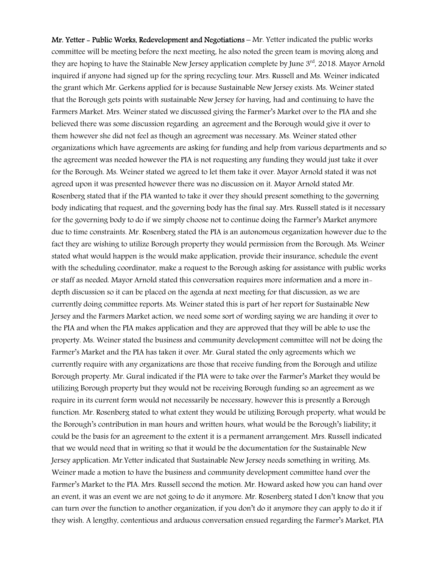Mr. Yetter - Public Works, Redevelopment and Negotiations – Mr. Yetter indicated the public works committee will be meeting before the next meeting, he also noted the green team is moving along and they are hoping to have the Stainable New Jersey application complete by June  $3<sup>rd</sup>$ , 2018. Mayor Arnold inquired if anyone had signed up for the spring recycling tour. Mrs. Russell and Ms. Weiner indicated the grant which Mr. Gerkens applied for is because Sustainable New Jersey exists. Ms. Weiner stated that the Borough gets points with sustainable New Jersey for having, had and continuing to have the Farmers Market. Mrs. Weiner stated we discussed giving the Farmer's Market over to the PIA and she believed there was some discussion regarding an agreement and the Borough would give it over to them however she did not feel as though an agreement was necessary. Ms. Weiner stated other organizations which have agreements are asking for funding and help from various departments and so the agreement was needed however the PIA is not requesting any funding they would just take it over for the Borough. Ms. Weiner stated we agreed to let them take it over. Mayor Arnold stated it was not agreed upon it was presented however there was no discussion on it. Mayor Arnold stated Mr. Rosenberg stated that if the PIA wanted to take it over they should present something to the governing body indicating that request, and the governing body has the final say. Mrs. Russell stated is it necessary for the governing body to do if we simply choose not to continue doing the Farmer's Market anymore due to time constraints. Mr. Rosenberg stated the PIA is an autonomous organization however due to the fact they are wishing to utilize Borough property they would permission from the Borough. Ms. Weiner stated what would happen is the would make application, provide their insurance, schedule the event with the scheduling coordinator, make a request to the Borough asking for assistance with public works or staff as needed. Mayor Arnold stated this conversation requires more information and a more indepth discussion so it can be placed on the agenda at next meeting for that discussion, as we are currently doing committee reports. Ms. Weiner stated this is part of her report for Sustainable New Jersey and the Farmers Market action, we need some sort of wording saying we are handing it over to the PIA and when the PIA makes application and they are approved that they will be able to use the property. Ms. Weiner stated the business and community development committee will not be doing the Farmer's Market and the PIA has taken it over. Mr. Gural stated the only agreements which we currently require with any organizations are those that receive funding from the Borough and utilize Borough property. Mr. Gural indicated if the PIA were to take over the Farmer's Market they would be utilizing Borough property but they would not be receiving Borough funding so an agreement as we require in its current form would not necessarily be necessary, however this is presently a Borough function. Mr. Rosenberg stated to what extent they would be utilizing Borough property, what would be the Borough's contribution in man hours and written hours, what would be the Borough's liability; it could be the basis for an agreement to the extent it is a permanent arrangement. Mrs. Russell indicated that we would need that in writing so that it would be the documentation for the Sustainable New Jersey application. Mr.Yetter indicated that Sustainable New Jersey needs something in writing. Ms. Weiner made a motion to have the business and community development committee hand over the Farmer's Market to the PIA. Mrs. Russell second the motion. Mr. Howard asked how you can hand over an event, it was an event we are not going to do it anymore. Mr. Rosenberg stated I don't know that you can turn over the function to another organization, if you don't do it anymore they can apply to do it if they wish. A lengthy, contentious and arduous conversation ensued regarding the Farmer's Market, PIA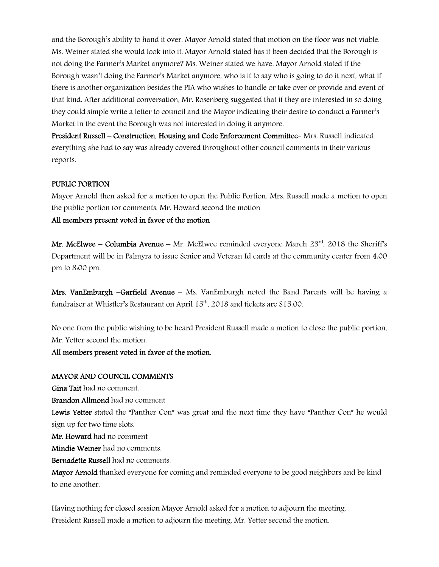and the Borough's ability to hand it over. Mayor Arnold stated that motion on the floor was not viable. Ms. Weiner stated she would look into it. Mayor Arnold stated has it been decided that the Borough is not doing the Farmer's Market anymore? Ms. Weiner stated we have. Mayor Arnold stated if the Borough wasn't doing the Farmer's Market anymore, who is it to say who is going to do it next, what if there is another organization besides the PIA who wishes to handle or take over or provide and event of that kind. After additional conversation, Mr. Rosenberg suggested that if they are interested in so doing they could simple write a letter to council and the Mayor indicating their desire to conduct a Farmer's Market in the event the Borough was not interested in doing it anymore.

President Russell – Construction, Housing and Code Enforcement Committee- Mrs. Russell indicated everything she had to say was already covered throughout other council comments in their various reports.

## PUBLIC PORTION

Mayor Arnold then asked for a motion to open the Public Portion. Mrs. Russell made a motion to open the public portion for comments. Mr. Howard second the motion

## All members present voted in favor of the motion

Mr. McElwee – Columbia Avenue – Mr. McElwee reminded everyone March  $23<sup>rd</sup>$ , 2018 the Sheriff's Department will be in Palmyra to issue Senior and Veteran Id cards at the community center from 4:00 pm to 8:00 pm.

Mrs. VanEmburgh –Garfield Avenue – Ms. VanEmburgh noted the Band Parents will be having a fundraiser at Whistler's Restaurant on April 15<sup>th</sup>, 2018 and tickets are \$15.00.

No one from the public wishing to be heard President Russell made a motion to close the public portion, Mr. Yetter second the motion.

## All members present voted in favor of the motion.

## MAYOR AND COUNCIL COMMENTS

Gina Tait had no comment.

Brandon Allmond had no comment

Lewis Yetter stated the "Panther Con" was great and the next time they have "Panther Con" he would sign up for two time slots.

Mr. Howard had no comment

Mindie Weiner had no comments.

Bernadette Russell had no comments.

Mayor Arnold thanked everyone for coming and reminded everyone to be good neighbors and be kind to one another.

Having nothing for closed session Mayor Arnold asked for a motion to adjourn the meeting. President Russell made a motion to adjourn the meeting. Mr. Yetter second the motion.